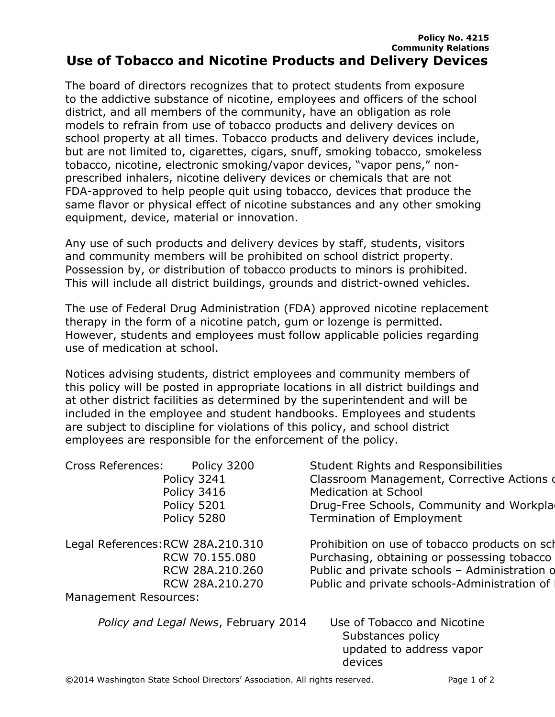## **Policy No. 4215 Community Relations Use of Tobacco and Nicotine Products and Delivery Devices**

The board of directors recognizes that to protect students from exposure to the addictive substance of nicotine, employees and officers of the school district, and all members of the community, have an obligation as role models to refrain from use of tobacco products and delivery devices on school property at all times. Tobacco products and delivery devices include, but are not limited to, cigarettes, cigars, snuff, smoking tobacco, smokeless tobacco, nicotine, electronic smoking/vapor devices, "vapor pens," nonprescribed inhalers, nicotine delivery devices or chemicals that are not FDA-approved to help people quit using tobacco, devices that produce the same flavor or physical effect of nicotine substances and any other smoking equipment, device, material or innovation.

Any use of such products and delivery devices by staff, students, visitors and community members will be prohibited on school district property. Possession by, or distribution of tobacco products to minors is prohibited. This will include all district buildings, grounds and district-owned vehicles.

The use of Federal Drug Administration (FDA) approved nicotine replacement therapy in the form of a nicotine patch, gum or lozenge is permitted. However, students and employees must follow applicable policies regarding use of medication at school.

Notices advising students, district employees and community members of this policy will be posted in appropriate locations in all district buildings and at other district facilities as determined by the superintendent and will be included in the employee and student handbooks. Employees and students are subject to discipline for violations of this policy, and school district employees are responsible for the enforcement of the policy.

| <b>Cross References:</b><br>Policy 3241<br>Policy 3416<br>Policy 5201<br>Policy 5280 | Policy 3200<br>Medication at School<br>Termination of Employment | <b>Student Rights and Responsibilities</b><br>Classroom Management, Corrective Actions of<br>Drug-Free Schools, Community and Workpla                                                         |
|--------------------------------------------------------------------------------------|------------------------------------------------------------------|-----------------------------------------------------------------------------------------------------------------------------------------------------------------------------------------------|
| Legal References: RCW 28A.210.310<br>RCW 70.155.080<br><b>Management Resources:</b>  | RCW 28A.210.260<br>RCW 28A.210.270                               | Prohibition on use of tobacco products on sch<br>Purchasing, obtaining or possessing tobacco<br>Public and private schools - Administration o<br>Public and private schools-Administration of |
| Policy and Legal News, February 2014                                                 | Substances policy<br>devices                                     | Use of Tobacco and Nicotine<br>updated to address vapor                                                                                                                                       |